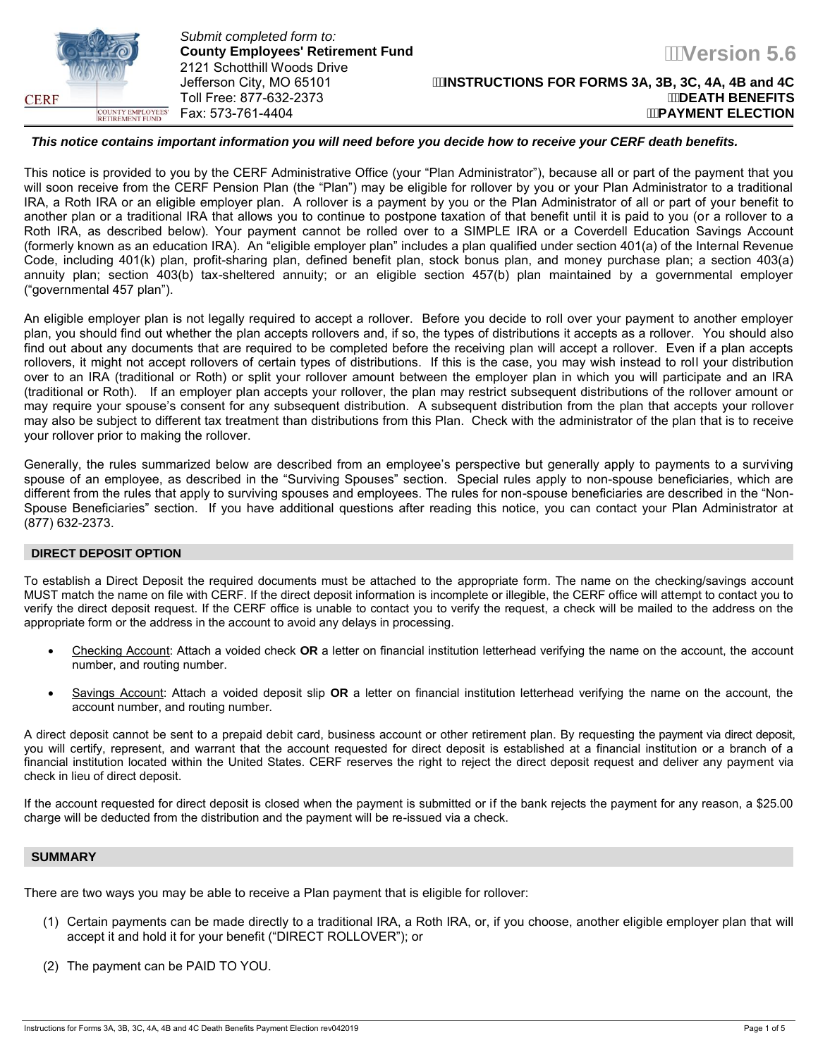

*Submit completed form to:*  **County Employees' Retirement Fund**  2121 Schotthill Woods Drive<br>Jefferson City, MO 65101 **Toll Free: 877-632-2373** 

**Version 5.6** 

#### *This notice contains important information you will need before you decide how to receive your CERF death benefits.*

This notice is provided to you by the CERF Administrative Office (your "Plan Administrator"), because all or part of the payment that you will soon receive from the CERF Pension Plan (the "Plan") may be eligible for rollover by you or your Plan Administrator to a traditional IRA, a Roth IRA or an eligible employer plan. A rollover is a payment by you or the Plan Administrator of all or part of your benefit to another plan or a traditional IRA that allows you to continue to postpone taxation of that benefit until it is paid to you (or a rollover to a Roth IRA, as described below). Your payment cannot be rolled over to a SIMPLE IRA or a Coverdell Education Savings Account (formerly known as an education IRA). An "eligible employer plan" includes a plan qualified under section 401(a) of the Internal Revenue Code, including 401(k) plan, profit-sharing plan, defined benefit plan, stock bonus plan, and money purchase plan; a section 403(a) annuity plan; section 403(b) tax-sheltered annuity; or an eligible section 457(b) plan maintained by a governmental employer ("governmental 457 plan").

An eligible employer plan is not legally required to accept a rollover. Before you decide to roll over your payment to another employer plan, you should find out whether the plan accepts rollovers and, if so, the types of distributions it accepts as a rollover. You should also find out about any documents that are required to be completed before the receiving plan will accept a rollover. Even if a plan accepts rollovers, it might not accept rollovers of certain types of distributions. If this is the case, you may wish instead to roll your distribution over to an IRA (traditional or Roth) or split your rollover amount between the employer plan in which you will participate and an IRA (traditional or Roth). If an employer plan accepts your rollover, the plan may restrict subsequent distributions of the rollover amount or may require your spouse's consent for any subsequent distribution. A subsequent distribution from the plan that accepts your rollover may also be subject to different tax treatment than distributions from this Plan. Check with the administrator of the plan that is to receive your rollover prior to making the rollover.

Generally, the rules summarized below are described from an employee's perspective but generally apply to payments to a surviving spouse of an employee, as described in the "Surviving Spouses" section. Special rules apply to non-spouse beneficiaries, which are different from the rules that apply to surviving spouses and employees. The rules for non-spouse beneficiaries are described in the "Non-Spouse Beneficiaries" section. If you have additional questions after reading this notice, you can contact your Plan Administrator at (877) 632-2373.

# **DIRECT DEPOSIT OPTION**

To establish a Direct Deposit the required documents must be attached to the appropriate form. The name on the checking/savings account MUST match the name on file with CERF. If the direct deposit information is incomplete or illegible, the CERF office will attempt to contact you to verify the direct deposit request. If the CERF office is unable to contact you to verify the request, a check will be mailed to the address on the appropriate form or the address in the account to avoid any delays in processing.

- Checking Account: Attach a voided check **OR** a letter on financial institution letterhead verifying the name on the account, the account number, and routing number.
- Savings Account: Attach a voided deposit slip **OR** a letter on financial institution letterhead verifying the name on the account, the account number, and routing number.

A direct deposit cannot be sent to a prepaid debit card, business account or other retirement plan. By requesting the payment via direct deposit, you will certify, represent, and warrant that the account requested for direct deposit is established at a financial institution or a branch of a financial institution located within the United States. CERF reserves the right to reject the direct deposit request and deliver any payment via check in lieu of direct deposit.

If the account requested for direct deposit is closed when the payment is submitted or if the bank rejects the payment for any reason, a \$25.00 charge will be deducted from the distribution and the payment will be re-issued via a check.

# **SUMMARY**

There are two ways you may be able to receive a Plan payment that is eligible for rollover:

- (1) Certain payments can be made directly to a traditional IRA, a Roth IRA, or, if you choose, another eligible employer plan that will accept it and hold it for your benefit ("DIRECT ROLLOVER"); or
- (2) The payment can be PAID TO YOU.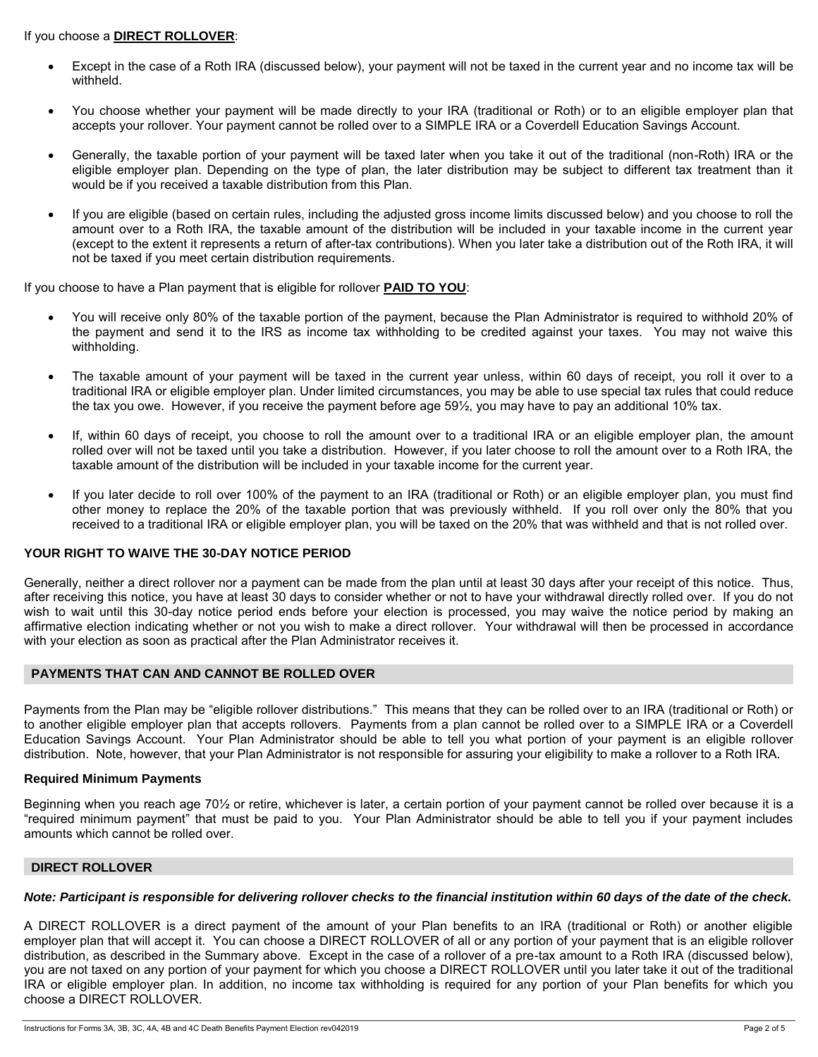#### If you choose a **DIRECT ROLLOVER**:

- Except in the case of a Roth IRA (discussed below), your payment will not be taxed in the current year and no income tax will be withheld.
- You choose whether your payment will be made directly to your IRA (traditional or Roth) or to an eligible employer plan that accepts your rollover. Your payment cannot be rolled over to a SIMPLE IRA or a Coverdell Education Savings Account.
- Generally, the taxable portion of your payment will be taxed later when you take it out of the traditional (non-Roth) IRA or the eligible employer plan. Depending on the type of plan, the later distribution may be subject to different tax treatment than it would be if you received a taxable distribution from this Plan.
- If you are eligible (based on certain rules, including the adjusted gross income limits discussed below) and you choose to roll the amount over to a Roth IRA, the taxable amount of the distribution will be included in your taxable income in the current year (except to the extent it represents a return of after-tax contributions). When you later take a distribution out of the Roth IRA, it will not be taxed if you meet certain distribution requirements.

If you choose to have a Plan payment that is eligible for rollover **PAID TO YOU**:

- You will receive only 80% of the taxable portion of the payment, because the Plan Administrator is required to withhold 20% of the payment and send it to the IRS as income tax withholding to be credited against your taxes. You may not waive this withholding.
- The taxable amount of your payment will be taxed in the current year unless, within 60 days of receipt, you roll it over to a traditional IRA or eligible employer plan. Under limited circumstances, you may be able to use special tax rules that could reduce the tax you owe. However, if you receive the payment before age 59½, you may have to pay an additional 10% tax.
- If, within 60 days of receipt, you choose to roll the amount over to a traditional IRA or an eligible employer plan, the amount rolled over will not be taxed until you take a distribution. However, if you later choose to roll the amount over to a Roth IRA, the taxable amount of the distribution will be included in your taxable income for the current year.
- If you later decide to roll over 100% of the payment to an IRA (traditional or Roth) or an eligible employer plan, you must find other money to replace the 20% of the taxable portion that was previously withheld. If you roll over only the 80% that you received to a traditional IRA or eligible employer plan, you will be taxed on the 20% that was withheld and that is not rolled over.

# **YOUR RIGHT TO WAIVE THE 30-DAY NOTICE PERIOD**

Generally, neither a direct rollover nor a payment can be made from the plan until at least 30 days after your receipt of this notice. Thus, after receiving this notice, you have at least 30 days to consider whether or not to have your withdrawal directly rolled over. If you do not wish to wait until this 30-day notice period ends before your election is processed, you may waive the notice period by making an affirmative election indicating whether or not you wish to make a direct rollover. Your withdrawal will then be processed in accordance with your election as soon as practical after the Plan Administrator receives it.

#### **PAYMENTS THAT CAN AND CANNOT BE ROLLED OVER**

Payments from the Plan may be "eligible rollover distributions." This means that they can be rolled over to an IRA (traditional or Roth) or to another eligible employer plan that accepts rollovers. Payments from a plan cannot be rolled over to a SIMPLE IRA or a Coverdell Education Savings Account. Your Plan Administrator should be able to tell you what portion of your payment is an eligible rollover distribution. Note, however, that your Plan Administrator is not responsible for assuring your eligibility to make a rollover to a Roth IRA.

#### **Required Minimum Payments**

Beginning when you reach age 70½ or retire, whichever is later, a certain portion of your payment cannot be rolled over because it is a "required minimum payment" that must be paid to you. Your Plan Administrator should be able to tell you if your payment includes amounts which cannot be rolled over.

#### **DIRECT ROLLOVER**

#### *Note: Participant is responsible for delivering rollover checks to the financial institution within 60 days of the date of the check.*

A DIRECT ROLLOVER is a direct payment of the amount of your Plan benefits to an IRA (traditional or Roth) or another eligible employer plan that will accept it. You can choose a DIRECT ROLLOVER of all or any portion of your payment that is an eligible rollover distribution, as described in the Summary above. Except in the case of a rollover of a pre-tax amount to a Roth IRA (discussed below), you are not taxed on any portion of your payment for which you choose a DIRECT ROLLOVER until you later take it out of the traditional IRA or eligible employer plan. In addition, no income tax withholding is required for any portion of your Plan benefits for which you choose a DIRECT ROLLOVER.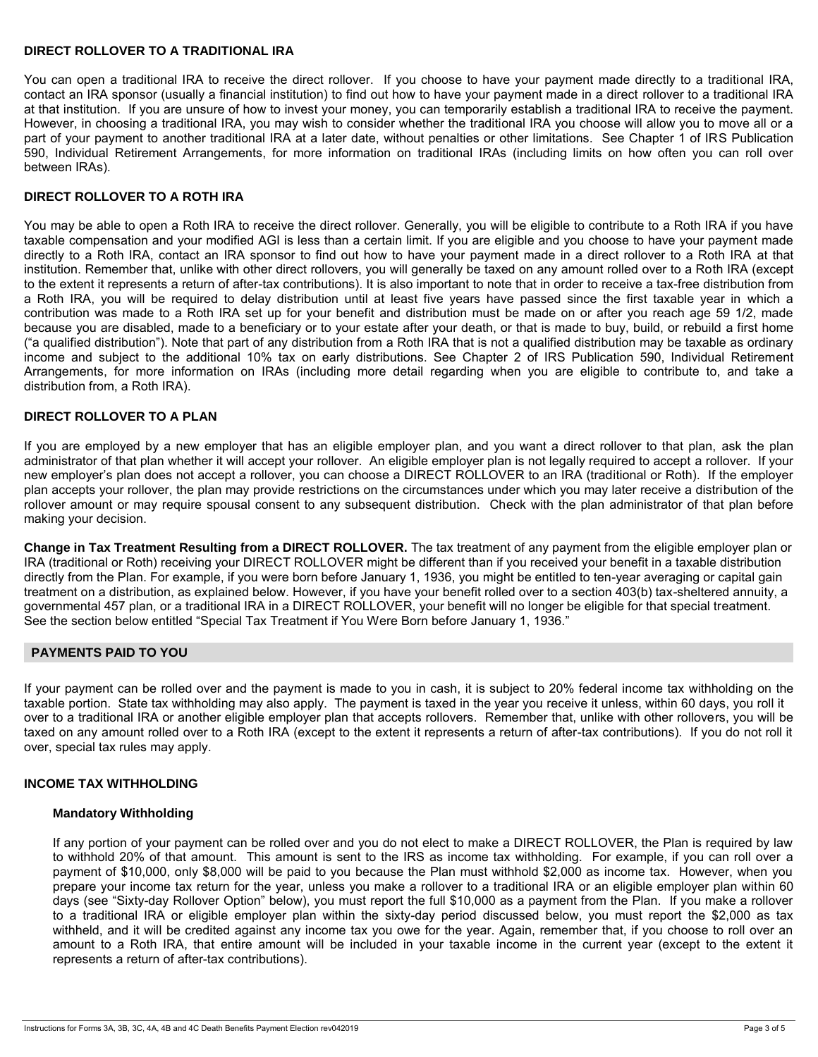#### **DIRECT ROLLOVER TO A TRADITIONAL IRA**

You can open a traditional IRA to receive the direct rollover. If you choose to have your payment made directly to a traditional IRA, contact an IRA sponsor (usually a financial institution) to find out how to have your payment made in a direct rollover to a traditional IRA at that institution. If you are unsure of how to invest your money, you can temporarily establish a traditional IRA to receive the payment. However, in choosing a traditional IRA, you may wish to consider whether the traditional IRA you choose will allow you to move all or a part of your payment to another traditional IRA at a later date, without penalties or other limitations. See Chapter 1 of IRS Publication 590, Individual Retirement Arrangements, for more information on traditional IRAs (including limits on how often you can roll over between IRAs).

# **DIRECT ROLLOVER TO A ROTH IRA**

You may be able to open a Roth IRA to receive the direct rollover. Generally, you will be eligible to contribute to a Roth IRA if you have taxable compensation and your modified AGI is less than a certain limit. If you are eligible and you choose to have your payment made directly to a Roth IRA, contact an IRA sponsor to find out how to have your payment made in a direct rollover to a Roth IRA at that institution. Remember that, unlike with other direct rollovers, you will generally be taxed on any amount rolled over to a Roth IRA (except to the extent it represents a return of after-tax contributions). It is also important to note that in order to receive a tax-free distribution from a Roth IRA, you will be required to delay distribution until at least five years have passed since the first taxable year in which a contribution was made to a Roth IRA set up for your benefit and distribution must be made on or after you reach age 59 1/2, made because you are disabled, made to a beneficiary or to your estate after your death, or that is made to buy, build, or rebuild a first home ("a qualified distribution"). Note that part of any distribution from a Roth IRA that is not a qualified distribution may be taxable as ordinary income and subject to the additional 10% tax on early distributions. See Chapter 2 of IRS Publication 590, Individual Retirement Arrangements, for more information on IRAs (including more detail regarding when you are eligible to contribute to, and take a distribution from, a Roth IRA).

# **DIRECT ROLLOVER TO A PLAN**

If you are employed by a new employer that has an eligible employer plan, and you want a direct rollover to that plan, ask the plan administrator of that plan whether it will accept your rollover. An eligible employer plan is not legally required to accept a rollover. If your new employer's plan does not accept a rollover, you can choose a DIRECT ROLLOVER to an IRA (traditional or Roth). If the employer plan accepts your rollover, the plan may provide restrictions on the circumstances under which you may later receive a distribution of the rollover amount or may require spousal consent to any subsequent distribution. Check with the plan administrator of that plan before making your decision.

**Change in Tax Treatment Resulting from a DIRECT ROLLOVER.** The tax treatment of any payment from the eligible employer plan or IRA (traditional or Roth) receiving your DIRECT ROLLOVER might be different than if you received your benefit in a taxable distribution directly from the Plan. For example, if you were born before January 1, 1936, you might be entitled to ten-year averaging or capital gain treatment on a distribution, as explained below. However, if you have your benefit rolled over to a section 403(b) tax-sheltered annuity, a governmental 457 plan, or a traditional IRA in a DIRECT ROLLOVER, your benefit will no longer be eligible for that special treatment. See the section below entitled "Special Tax Treatment if You Were Born before January 1, 1936."

# **PAYMENTS PAID TO YOU**

If your payment can be rolled over and the payment is made to you in cash, it is subject to 20% federal income tax withholding on the taxable portion. State tax withholding may also apply. The payment is taxed in the year you receive it unless, within 60 days, you roll it over to a traditional IRA or another eligible employer plan that accepts rollovers. Remember that, unlike with other rollovers, you will be taxed on any amount rolled over to a Roth IRA (except to the extent it represents a return of after-tax contributions). If you do not roll it over, special tax rules may apply.

# **INCOME TAX WITHHOLDING**

#### **Mandatory Withholding**

If any portion of your payment can be rolled over and you do not elect to make a DIRECT ROLLOVER, the Plan is required by law to withhold 20% of that amount. This amount is sent to the IRS as income tax withholding. For example, if you can roll over a payment of \$10,000, only \$8,000 will be paid to you because the Plan must withhold \$2,000 as income tax. However, when you prepare your income tax return for the year, unless you make a rollover to a traditional IRA or an eligible employer plan within 60 days (see "Sixty-day Rollover Option" below), you must report the full \$10,000 as a payment from the Plan. If you make a rollover to a traditional IRA or eligible employer plan within the sixty-day period discussed below, you must report the \$2,000 as tax withheld, and it will be credited against any income tax you owe for the year. Again, remember that, if you choose to roll over an amount to a Roth IRA, that entire amount will be included in your taxable income in the current year (except to the extent it represents a return of after-tax contributions).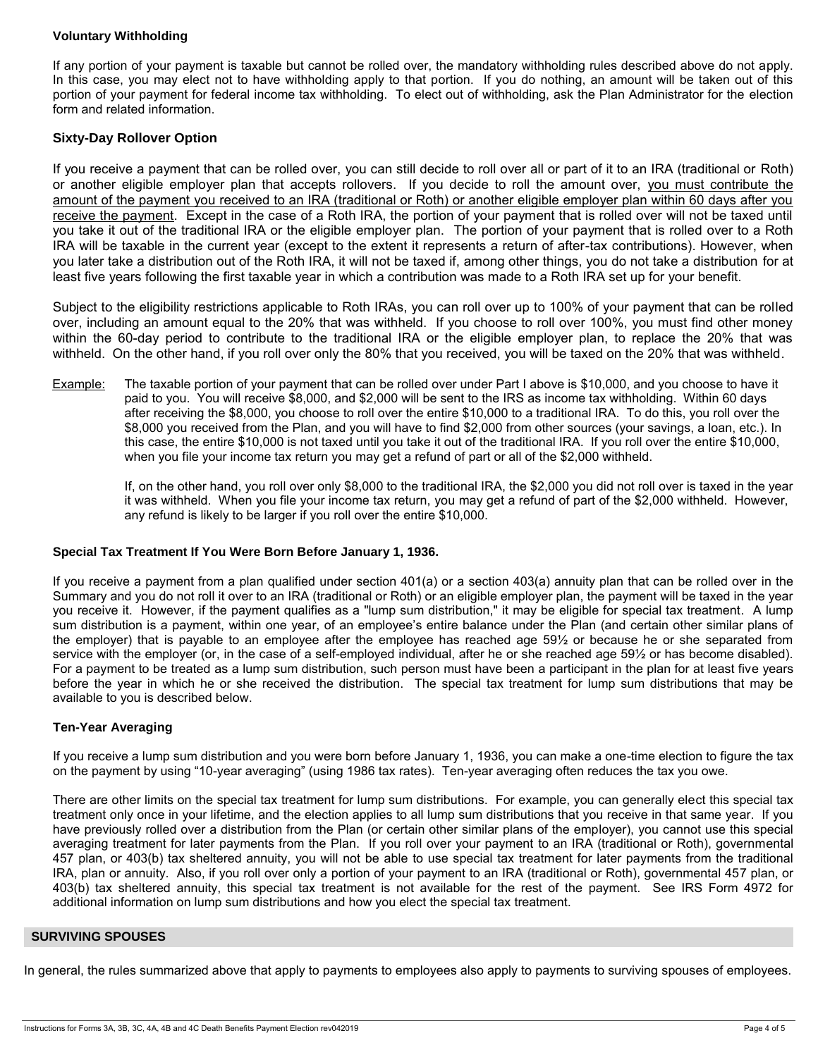# **Voluntary Withholding**

If any portion of your payment is taxable but cannot be rolled over, the mandatory withholding rules described above do not apply. In this case, you may elect not to have withholding apply to that portion. If you do nothing, an amount will be taken out of this portion of your payment for federal income tax withholding. To elect out of withholding, ask the Plan Administrator for the election form and related information.

# **Sixty-Day Rollover Option**

If you receive a payment that can be rolled over, you can still decide to roll over all or part of it to an IRA (traditional or Roth) or another eligible employer plan that accepts rollovers. If you decide to roll the amount over, you must contribute the amount of the payment you received to an IRA (traditional or Roth) or another eligible employer plan within 60 days after you receive the payment. Except in the case of a Roth IRA, the portion of your payment that is rolled over will not be taxed until you take it out of the traditional IRA or the eligible employer plan. The portion of your payment that is rolled over to a Roth IRA will be taxable in the current year (except to the extent it represents a return of after-tax contributions). However, when you later take a distribution out of the Roth IRA, it will not be taxed if, among other things, you do not take a distribution for at least five years following the first taxable year in which a contribution was made to a Roth IRA set up for your benefit.

Subject to the eligibility restrictions applicable to Roth IRAs, you can roll over up to 100% of your payment that can be rolled over, including an amount equal to the 20% that was withheld. If you choose to roll over 100%, you must find other money within the 60-day period to contribute to the traditional IRA or the eligible employer plan, to replace the 20% that was withheld. On the other hand, if you roll over only the 80% that you received, you will be taxed on the 20% that was withheld.

Example: The taxable portion of your payment that can be rolled over under Part I above is \$10,000, and you choose to have it paid to you. You will receive \$8,000, and \$2,000 will be sent to the IRS as income tax withholding. Within 60 days after receiving the \$8,000, you choose to roll over the entire \$10,000 to a traditional IRA. To do this, you roll over the \$8,000 you received from the Plan, and you will have to find \$2,000 from other sources (your savings, a loan, etc.). In this case, the entire \$10,000 is not taxed until you take it out of the traditional IRA. If you roll over the entire \$10,000, when you file your income tax return you may get a refund of part or all of the \$2,000 withheld.

If, on the other hand, you roll over only \$8,000 to the traditional IRA, the \$2,000 you did not roll over is taxed in the year it was withheld. When you file your income tax return, you may get a refund of part of the \$2,000 withheld. However, any refund is likely to be larger if you roll over the entire \$10,000.

# **Special Tax Treatment If You Were Born Before January 1, 1936.**

If you receive a payment from a plan qualified under section 401(a) or a section 403(a) annuity plan that can be rolled over in the Summary and you do not roll it over to an IRA (traditional or Roth) or an eligible employer plan, the payment will be taxed in the year you receive it. However, if the payment qualifies as a "lump sum distribution," it may be eligible for special tax treatment. A lump sum distribution is a payment, within one year, of an employee's entire balance under the Plan (and certain other similar plans of the employer) that is payable to an employee after the employee has reached age 59½ or because he or she separated from service with the employer (or, in the case of a self-employed individual, after he or she reached age 59½ or has become disabled). For a payment to be treated as a lump sum distribution, such person must have been a participant in the plan for at least five years before the year in which he or she received the distribution. The special tax treatment for lump sum distributions that may be available to you is described below.

# **Ten-Year Averaging**

If you receive a lump sum distribution and you were born before January 1, 1936, you can make a one-time election to figure the tax on the payment by using "10-year averaging" (using 1986 tax rates). Ten-year averaging often reduces the tax you owe.

There are other limits on the special tax treatment for lump sum distributions. For example, you can generally elect this special tax treatment only once in your lifetime, and the election applies to all lump sum distributions that you receive in that same year. If you have previously rolled over a distribution from the Plan (or certain other similar plans of the employer), you cannot use this special averaging treatment for later payments from the Plan. If you roll over your payment to an IRA (traditional or Roth), governmental 457 plan, or 403(b) tax sheltered annuity, you will not be able to use special tax treatment for later payments from the traditional IRA, plan or annuity. Also, if you roll over only a portion of your payment to an IRA (traditional or Roth), governmental 457 plan, or 403(b) tax sheltered annuity, this special tax treatment is not available for the rest of the payment. See IRS Form 4972 for additional information on lump sum distributions and how you elect the special tax treatment.

#### **SURVIVING SPOUSES**

In general, the rules summarized above that apply to payments to employees also apply to payments to surviving spouses of employees.